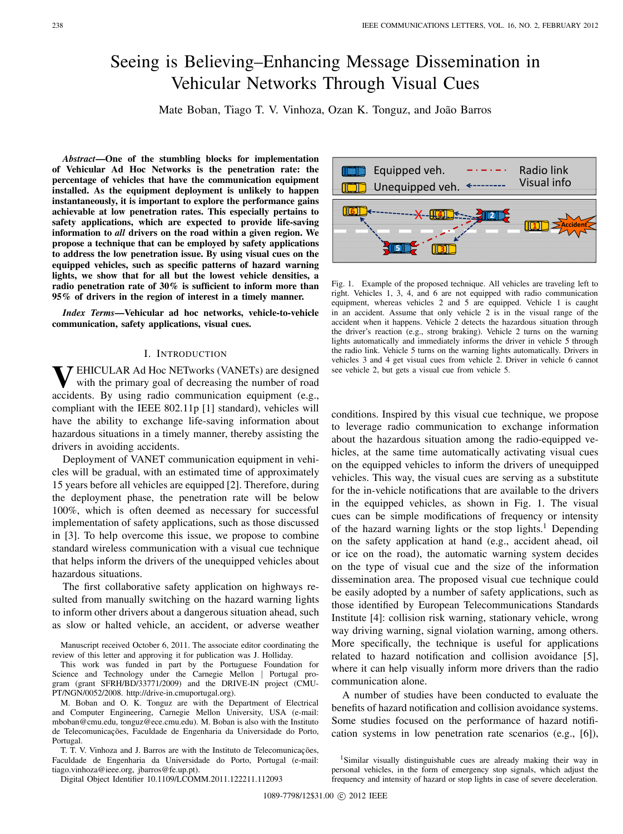# Seeing is Believing–Enhancing Message Dissemination in Vehicular Networks Through Visual Cues

Mate Boban, Tiago T. V. Vinhoza, Ozan K. Tonguz, and João Barros

*Abstract***—One of the stumbling blocks for implementation of Vehicular Ad Hoc Networks is the penetration rate: the percentage of vehicles that have the communication equipment installed. As the equipment deployment is unlikely to happen instantaneously, it is important to explore the performance gains achievable at low penetration rates. This especially pertains to safety applications, which are expected to provide life-saving information to** *all* **drivers on the road within a given region. We propose a technique that can be employed by safety applications to address the low penetration issue. By using visual cues on the equipped vehicles, such as specific patterns of hazard warning lights, we show that for all but the lowest vehicle densities, a radio penetration rate of 30% is sufficient to inform more than 95% of drivers in the region of interest in a timely manner.**

*Index Terms***—Vehicular ad hoc networks, vehicle-to-vehicle communication, safety applications, visual cues.**

## I. INTRODUCTION

**7** EHICULAR Ad Hoc NETworks (VANETs) are designed with the primary goal of decreasing the number of road accidents. By using radio communication equipment (e.g., compliant with the IEEE 802.11p [1] standard), vehicles will have the ability to exchange life-saving information about hazardous situations in a timely manner, thereby assisting the drivers in avoiding accidents.

Deployment of VANET communication equipment in vehicles will be gradual, with an estimated time of approximately 15 years before all vehicles are equipped [2]. Therefore, during the deployment phase, the penetration rate will be below 100%, which is often deemed as necessary for successful implementation of safety applications, such as those discussed in [3]. To help overcome this issue, we propose to combine standard wireless communication with a visual cue technique that helps inform the drivers of the unequipped vehicles about hazardous situations.

The first collaborative safety application on highways resulted from manually switching on the hazard warning lights to inform other drivers about a dangerous situation ahead, such as slow or halted vehicle, an accident, or adverse weather

M. Boban and O. K. Tonguz are with the Department of Electrical and Computer Engineering, Carnegie Mellon University, USA (e-mail: mboban@cmu.edu, tonguz@ece.cmu.edu). M. Boban is also with the Instituto de Telecomunicações, Faculdade de Engenharia da Universidade do Porto, Portugal.

T. T. V. Vinhoza and J. Barros are with the Instituto de Telecomunicações, Faculdade de Engenharia da Universidade do Porto, Portugal (e-mail: tiago.vinhoza@ieee.org, jbarros@fe.up.pt).

Digital Object Identifier 10.1109/LCOMM.2011.122211.112093



Fig. 1. Example of the proposed technique. All vehicles are traveling left to right. Vehicles 1, 3, 4, and 6 are not equipped with radio communication equipment, whereas vehicles 2 and 5 are equipped. Vehicle 1 is caught in an accident. Assume that only vehicle 2 is in the visual range of the accident when it happens. Vehicle 2 detects the hazardous situation through the driver's reaction (e.g., strong braking). Vehicle 2 turns on the warning lights automatically and immediately informs the driver in vehicle 5 through the radio link. Vehicle 5 turns on the warning lights automatically. Drivers in vehicles 3 and 4 get visual cues from vehicle 2. Driver in vehicle 6 cannot see vehicle 2, but gets a visual cue from vehicle 5.

conditions. Inspired by this visual cue technique, we propose to leverage radio communication to exchange information about the hazardous situation among the radio-equipped vehicles, at the same time automatically activating visual cues on the equipped vehicles to inform the drivers of unequipped vehicles. This way, the visual cues are serving as a substitute for the in-vehicle notifications that are available to the drivers in the equipped vehicles, as shown in Fig. 1. The visual cues can be simple modifications of frequency or intensity of the hazard warning lights or the stop lights.<sup>1</sup> Depending on the safety application at hand (e.g., accident ahead, oil or ice on the road), the automatic warning system decides on the type of visual cue and the size of the information dissemination area. The proposed visual cue technique could be easily adopted by a number of safety applications, such as those identified by European Telecommunications Standards Institute [4]: collision risk warning, stationary vehicle, wrong way driving warning, signal violation warning, among others. More specifically, the technique is useful for applications related to hazard notification and collision avoidance [5], where it can help visually inform more drivers than the radio communication alone.

A number of studies have been conducted to evaluate the benefits of hazard notification and collision avoidance systems. Some studies focused on the performance of hazard notification systems in low penetration rate scenarios (e.g., [6]),

Manuscript received October 6, 2011. The associate editor coordinating the review of this letter and approving it for publication was J. Holliday.

This work was funded in part by the Portuguese Foundation for Science and Technology under the Carnegie Mellon ∣ Portugal program (grant SFRH/BD/33771/2009) and the DRIVE-IN project (CMU-PT/NGN/0052/2008. http://drive-in.cmuportugal.org).

<sup>1</sup>Similar visually distinguishable cues are already making their way in personal vehicles, in the form of emergency stop signals, which adjust the frequency and intensity of hazard or stop lights in case of severe deceleration.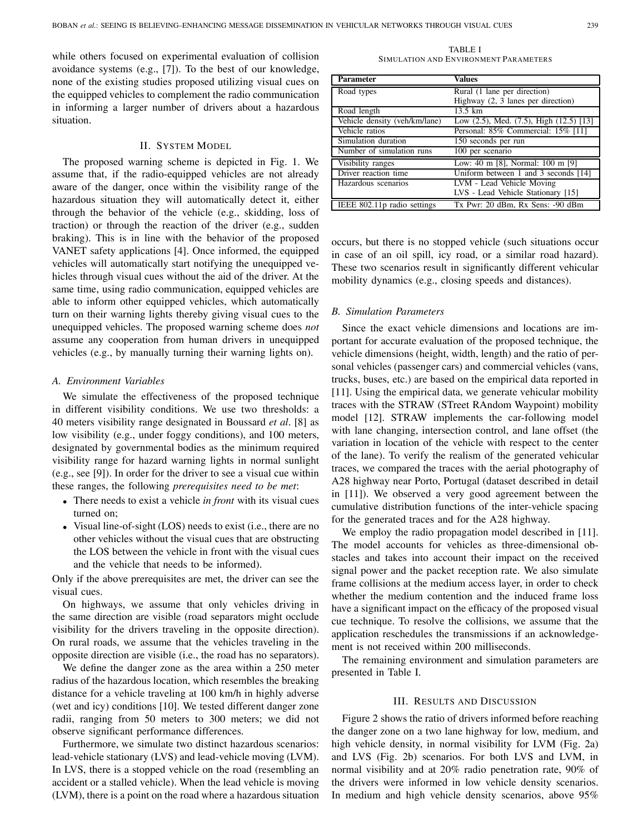while others focused on experimental evaluation of collision avoidance systems (e.g., [7]). To the best of our knowledge, none of the existing studies proposed utilizing visual cues on the equipped vehicles to complement the radio communication in informing a larger number of drivers about a hazardous situation.

## II. SYSTEM MODEL

The proposed warning scheme is depicted in Fig. 1. We assume that, if the radio-equipped vehicles are not already aware of the danger, once within the visibility range of the hazardous situation they will automatically detect it, either through the behavior of the vehicle (e.g., skidding, loss of traction) or through the reaction of the driver (e.g., sudden braking). This is in line with the behavior of the proposed VANET safety applications [4]. Once informed, the equipped vehicles will automatically start notifying the unequipped vehicles through visual cues without the aid of the driver. At the same time, using radio communication, equipped vehicles are able to inform other equipped vehicles, which automatically turn on their warning lights thereby giving visual cues to the unequipped vehicles. The proposed warning scheme does *not* assume any cooperation from human drivers in unequipped vehicles (e.g., by manually turning their warning lights on).

## *A. Environment Variables*

We simulate the effectiveness of the proposed technique in different visibility conditions. We use two thresholds: a 40 meters visibility range designated in Boussard *et al*. [8] as low visibility (e.g., under foggy conditions), and 100 meters, designated by governmental bodies as the minimum required visibility range for hazard warning lights in normal sunlight (e.g., see [9]). In order for the driver to see a visual cue within these ranges, the following *prerequisites need to be met*:

- <sup>∙</sup> There needs to exist a vehicle *in front* with its visual cues turned on;
- <sup>∙</sup> Visual line-of-sight (LOS) needs to exist (i.e., there are no other vehicles without the visual cues that are obstructing the LOS between the vehicle in front with the visual cues and the vehicle that needs to be informed).

Only if the above prerequisites are met, the driver can see the visual cues.

On highways, we assume that only vehicles driving in the same direction are visible (road separators might occlude visibility for the drivers traveling in the opposite direction). On rural roads, we assume that the vehicles traveling in the opposite direction are visible (i.e., the road has no separators).

We define the danger zone as the area within a 250 meter radius of the hazardous location, which resembles the breaking distance for a vehicle traveling at 100 km/h in highly adverse (wet and icy) conditions [10]. We tested different danger zone radii, ranging from 50 meters to 300 meters; we did not observe significant performance differences.

Furthermore, we simulate two distinct hazardous scenarios: lead-vehicle stationary (LVS) and lead-vehicle moving (LVM). In LVS, there is a stopped vehicle on the road (resembling an accident or a stalled vehicle). When the lead vehicle is moving (LVM), there is a point on the road where a hazardous situation

TABLE I SIMULATION AND ENVIRONMENT PARAMETERS

| <b>Parameter</b>              | Values                                          |
|-------------------------------|-------------------------------------------------|
| Road types                    | Rural (1 lane per direction)                    |
|                               | Highway (2, 3 lanes per direction)              |
| Road length                   | 13.5 km                                         |
| Vehicle density (veh/km/lane) | Low $(2.5)$ , Med. $(7.5)$ , High $(12.5)$ [13] |
| Vehicle ratios                | Personal: 85% Commercial: 15% [11]              |
| Simulation duration           | 150 seconds per run                             |
| Number of simulation runs     | 100 per scenario                                |
| Visibility ranges             | Low: 40 m [8], Normal: 100 m [9]                |
| Driver reaction time          | Uniform between 1 and 3 seconds [14]            |
| Hazardous scenarios           | LVM - Lead Vehicle Moving                       |
|                               | LVS - Lead Vehicle Stationary [15]              |
| IEEE 802.11p radio settings   | Tx Pwr: 20 dBm, Rx Sens: -90 dBm                |

occurs, but there is no stopped vehicle (such situations occur in case of an oil spill, icy road, or a similar road hazard). These two scenarios result in significantly different vehicular mobility dynamics (e.g., closing speeds and distances).

## *B. Simulation Parameters*

Since the exact vehicle dimensions and locations are important for accurate evaluation of the proposed technique, the vehicle dimensions (height, width, length) and the ratio of personal vehicles (passenger cars) and commercial vehicles (vans, trucks, buses, etc.) are based on the empirical data reported in [11]. Using the empirical data, we generate vehicular mobility traces with the STRAW (STreet RAndom Waypoint) mobility model [12]. STRAW implements the car-following model with lane changing, intersection control, and lane offset (the variation in location of the vehicle with respect to the center of the lane). To verify the realism of the generated vehicular traces, we compared the traces with the aerial photography of A28 highway near Porto, Portugal (dataset described in detail in [11]). We observed a very good agreement between the cumulative distribution functions of the inter-vehicle spacing for the generated traces and for the A28 highway.

We employ the radio propagation model described in [11]. The model accounts for vehicles as three-dimensional obstacles and takes into account their impact on the received signal power and the packet reception rate. We also simulate frame collisions at the medium access layer, in order to check whether the medium contention and the induced frame loss have a significant impact on the efficacy of the proposed visual cue technique. To resolve the collisions, we assume that the application reschedules the transmissions if an acknowledgement is not received within 200 milliseconds.

The remaining environment and simulation parameters are presented in Table I.

#### III. RESULTS AND DISCUSSION

Figure 2 shows the ratio of drivers informed before reaching the danger zone on a two lane highway for low, medium, and high vehicle density, in normal visibility for LVM (Fig. 2a) and LVS (Fig. 2b) scenarios. For both LVS and LVM, in normal visibility and at 20% radio penetration rate, 90% of the drivers were informed in low vehicle density scenarios. In medium and high vehicle density scenarios, above 95%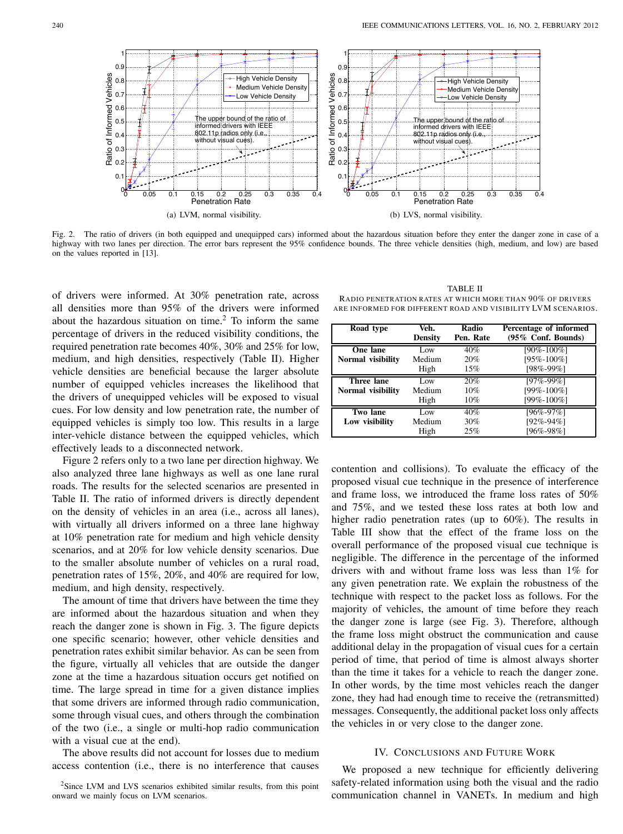

Fig. 2. The ratio of drivers (in both equipped and unequipped cars) informed about the hazardous situation before they enter the danger zone in case of a highway with two lanes per direction. The error bars represent the 95% confidence bounds. The three vehicle densities (high, medium, and low) are based on the values reported in [13].

of drivers were informed. At 30% penetration rate, across all densities more than 95% of the drivers were informed about the hazardous situation on time. $<sup>2</sup>$  To inform the same</sup> percentage of drivers in the reduced visibility conditions, the required penetration rate becomes 40%, 30% and 25% for low, medium, and high densities, respectively (Table II). Higher vehicle densities are beneficial because the larger absolute number of equipped vehicles increases the likelihood that the drivers of unequipped vehicles will be exposed to visual cues. For low density and low penetration rate, the number of equipped vehicles is simply too low. This results in a large inter-vehicle distance between the equipped vehicles, which effectively leads to a disconnected network.

Figure 2 refers only to a two lane per direction highway. We also analyzed three lane highways as well as one lane rural roads. The results for the selected scenarios are presented in Table II. The ratio of informed drivers is directly dependent on the density of vehicles in an area (i.e., across all lanes), with virtually all drivers informed on a three lane highway at 10% penetration rate for medium and high vehicle density scenarios, and at 20% for low vehicle density scenarios. Due to the smaller absolute number of vehicles on a rural road, penetration rates of 15%, 20%, and 40% are required for low, medium, and high density, respectively.

The amount of time that drivers have between the time they are informed about the hazardous situation and when they reach the danger zone is shown in Fig. 3. The figure depicts one specific scenario; however, other vehicle densities and penetration rates exhibit similar behavior. As can be seen from the figure, virtually all vehicles that are outside the danger zone at the time a hazardous situation occurs get notified on time. The large spread in time for a given distance implies that some drivers are informed through radio communication, some through visual cues, and others through the combination of the two (i.e., a single or multi-hop radio communication with a visual cue at the end).

The above results did not account for losses due to medium access contention (i.e., there is no interference that causes

| Road type         | Veh.<br><b>Density</b> | Radio<br>Pen. Rate | Percentage of informed<br>(95% Conf. Bounds) |
|-------------------|------------------------|--------------------|----------------------------------------------|
| One lane          | Low                    | 40%                | [90%-100%]                                   |
| Normal visibility | Medium                 | 20%                | [95%-100%]                                   |
|                   | High                   | 15%                | [98%-99%]                                    |
| Three lane        | Low                    | 20%                | $[97\% - 99\%]$                              |
|                   |                        |                    |                                              |
| Normal visibility | Medium                 | 10%                | [99%-100%]                                   |
|                   | High                   | $10\%$             | [99%-100%]                                   |
| Two lane          | Low                    | 40%                | [96%-97%]                                    |
| Low visibility    | Medium                 | 30%                | $[92\% - 94\%]$                              |

TABLE II RADIO PENETRATION RATES AT WHICH MORE THAN 90% OF DRIVERS ARE INFORMED FOR DIFFERENT ROAD AND VISIBILITY LVM SCENARIOS.

contention and collisions). To evaluate the efficacy of the proposed visual cue technique in the presence of interference and frame loss, we introduced the frame loss rates of 50% and 75%, and we tested these loss rates at both low and higher radio penetration rates (up to 60%). The results in Table III show that the effect of the frame loss on the overall performance of the proposed visual cue technique is negligible. The difference in the percentage of the informed drivers with and without frame loss was less than 1% for any given penetration rate. We explain the robustness of the technique with respect to the packet loss as follows. For the majority of vehicles, the amount of time before they reach the danger zone is large (see Fig. 3). Therefore, although the frame loss might obstruct the communication and cause additional delay in the propagation of visual cues for a certain period of time, that period of time is almost always shorter than the time it takes for a vehicle to reach the danger zone. In other words, by the time most vehicles reach the danger zone, they had had enough time to receive the (retransmitted) messages. Consequently, the additional packet loss only affects the vehicles in or very close to the danger zone.

#### IV. CONCLUSIONS AND FUTURE WORK

We proposed a new technique for efficiently delivering safety-related information using both the visual and the radio communication channel in VANETs. In medium and high

<sup>2</sup>Since LVM and LVS scenarios exhibited similar results, from this point onward we mainly focus on LVM scenarios.